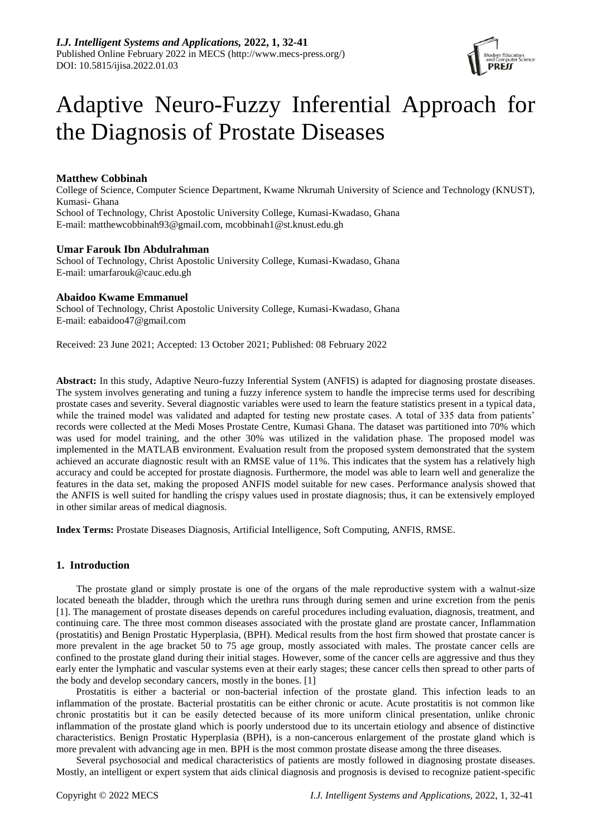

# Adaptive Neuro-Fuzzy Inferential Approach for the Diagnosis of Prostate Diseases

# **Matthew Cobbinah**

College of Science, Computer Science Department, Kwame Nkrumah University of Science and Technology (KNUST), Kumasi- Ghana School of Technology, Christ Apostolic University College, Kumasi-Kwadaso, Ghana E-mail: matthewcobbinah93@gmail.com, mcobbinah1@st.knust.edu.gh

## **Umar Farouk Ibn Abdulrahman**

School of Technology, Christ Apostolic University College, Kumasi-Kwadaso, Ghana E-mail: umarfarouk@cauc.edu.gh

# **Abaidoo Kwame Emmanuel**

School of Technology, Christ Apostolic University College, Kumasi-Kwadaso, Ghana E-mail: eabaidoo47@gmail.com

Received: 23 June 2021; Accepted: 13 October 2021; Published: 08 February 2022

**Abstract:** In this study, Adaptive Neuro-fuzzy Inferential System (ANFIS) is adapted for diagnosing prostate diseases. The system involves generating and tuning a fuzzy inference system to handle the imprecise terms used for describing prostate cases and severity. Several diagnostic variables were used to learn the feature statistics present in a typical data, while the trained model was validated and adapted for testing new prostate cases. A total of 335 data from patients' records were collected at the Medi Moses Prostate Centre, Kumasi Ghana. The dataset was partitioned into 70% which was used for model training, and the other 30% was utilized in the validation phase. The proposed model was implemented in the MATLAB environment. Evaluation result from the proposed system demonstrated that the system achieved an accurate diagnostic result with an RMSE value of 11%. This indicates that the system has a relatively high accuracy and could be accepted for prostate diagnosis. Furthermore, the model was able to learn well and generalize the features in the data set, making the proposed ANFIS model suitable for new cases. Performance analysis showed that the ANFIS is well suited for handling the crispy values used in prostate diagnosis; thus, it can be extensively employed in other similar areas of medical diagnosis.

**Index Terms:** Prostate Diseases Diagnosis, Artificial Intelligence, Soft Computing, ANFIS, RMSE.

# **1. Introduction**

The prostate gland or simply prostate is one of the organs of the male reproductive system with a walnut-size located beneath the bladder, through which the urethra runs through during semen and urine excretion from the penis [1]. The management of prostate diseases depends on careful procedures including evaluation, diagnosis, treatment, and continuing care. The three most common diseases associated with the prostate gland are prostate cancer, Inflammation (prostatitis) and Benign Prostatic Hyperplasia, (BPH). Medical results from the host firm showed that prostate cancer is more prevalent in the age bracket 50 to 75 age group, mostly associated with males. The prostate cancer cells are confined to the prostate gland during their initial stages. However, some of the cancer cells are aggressive and thus they early enter the lymphatic and vascular systems even at their early stages; these cancer cells then spread to other parts of the body and develop secondary cancers, mostly in the bones. [1]

Prostatitis is either a bacterial or non-bacterial infection of the prostate gland. This infection leads to an inflammation of the prostate. Bacterial prostatitis can be either chronic or acute. Acute prostatitis is not common like chronic prostatitis but it can be easily detected because of its more uniform clinical presentation, unlike chronic inflammation of the prostate gland which is poorly understood due to its uncertain etiology and absence of distinctive characteristics. Benign Prostatic Hyperplasia (BPH), is a non-cancerous enlargement of the prostate gland which is more prevalent with advancing age in men. BPH is the most common prostate disease among the three diseases.

Several psychosocial and medical characteristics of patients are mostly followed in diagnosing prostate diseases. Mostly, an intelligent or expert system that aids clinical diagnosis and prognosis is devised to recognize patient-specific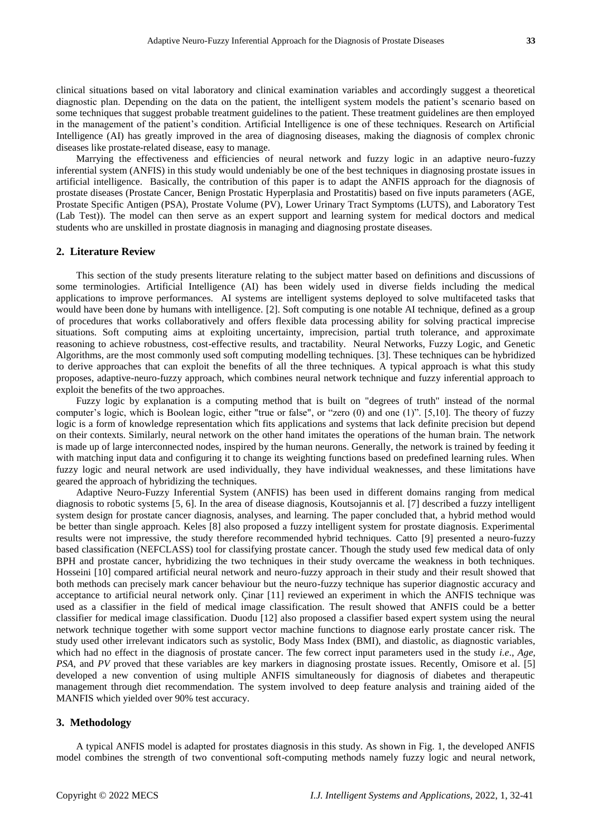clinical situations based on vital laboratory and clinical examination variables and accordingly suggest a theoretical diagnostic plan. Depending on the data on the patient, the intelligent system models the patient's scenario based on some techniques that suggest probable treatment guidelines to the patient. These treatment guidelines are then employed in the management of the patient's condition. Artificial Intelligence is one of these techniques. Research on Artificial Intelligence (AI) has greatly improved in the area of diagnosing diseases, making the diagnosis of complex chronic diseases like prostate-related disease, easy to manage.

Marrying the effectiveness and efficiencies of neural network and fuzzy logic in an adaptive neuro-fuzzy inferential system (ANFIS) in this study would undeniably be one of the best techniques in diagnosing prostate issues in artificial intelligence. Basically, the contribution of this paper is to adapt the ANFIS approach for the diagnosis of prostate diseases (Prostate Cancer, Benign Prostatic Hyperplasia and Prostatitis) based on five inputs parameters (AGE, Prostate Specific Antigen (PSA), Prostate Volume (PV), Lower Urinary Tract Symptoms (LUTS), and Laboratory Test (Lab Test)). The model can then serve as an expert support and learning system for medical doctors and medical students who are unskilled in prostate diagnosis in managing and diagnosing prostate diseases.

### **2. Literature Review**

This section of the study presents literature relating to the subject matter based on definitions and discussions of some terminologies. Artificial Intelligence (AI) has been widely used in diverse fields including the medical applications to improve performances. AI systems are intelligent systems deployed to solve multifaceted tasks that would have been done by humans with intelligence. [2]. Soft computing is one notable AI technique, defined as a group of procedures that works collaboratively and offers flexible data processing ability for solving practical imprecise situations. Soft computing aims at exploiting uncertainty, imprecision, partial truth tolerance, and approximate reasoning to achieve robustness, cost-effective results, and tractability. Neural Networks, Fuzzy Logic, and Genetic Algorithms, are the most commonly used soft computing modelling techniques. [3]. These techniques can be hybridized to derive approaches that can exploit the benefits of all the three techniques. A typical approach is what this study proposes, adaptive-neuro-fuzzy approach, which combines neural network technique and fuzzy inferential approach to exploit the benefits of the two approaches.

Fuzzy logic by explanation is a computing method that is built on "degrees of truth" instead of the normal computer's logic, which is Boolean logic, either "true or false", or "zero (0) and one (1)". [5,10]. The theory of fuzzy logic is a form of knowledge representation which fits applications and systems that lack definite precision but depend on their contexts. Similarly, neural network on the other hand imitates the operations of the human brain. The network is made up of large interconnected nodes, inspired by the human neurons. Generally, the network is trained by feeding it with matching input data and configuring it to change its weighting functions based on predefined learning rules. When fuzzy logic and neural network are used individually, they have individual weaknesses, and these limitations have geared the approach of hybridizing the techniques.

Adaptive Neuro-Fuzzy Inferential System (ANFIS) has been used in different domains ranging from medical diagnosis to robotic systems [5, 6]. In the area of disease diagnosis, Koutsojannis et al. [7] described a fuzzy intelligent system design for prostate cancer diagnosis, analyses, and learning. The paper concluded that, a hybrid method would be better than single approach. Keles [8] also proposed a fuzzy intelligent system for prostate diagnosis. Experimental results were not impressive, the study therefore recommended hybrid techniques. Catto [9] presented a neuro-fuzzy based classification (NEFCLASS) tool for classifying prostate cancer. Though the study used few medical data of only BPH and prostate cancer, hybridizing the two techniques in their study overcame the weakness in both techniques. Hosseini [10] compared artificial neural network and neuro-fuzzy approach in their study and their result showed that both methods can precisely mark cancer behaviour but the neuro-fuzzy technique has superior diagnostic accuracy and acceptance to artificial neural network only. Çinar [11] reviewed an experiment in which the ANFIS technique was used as a classifier in the field of medical image classification. The result showed that ANFIS could be a better classifier for medical image classification. Duodu [12] also proposed a classifier based expert system using the neural network technique together with some support vector machine functions to diagnose early prostate cancer risk. The study used other irrelevant indicators such as systolic, Body Mass Index (BMI), and diastolic, as diagnostic variables, which had no effect in the diagnosis of prostate cancer. The few correct input parameters used in the study *i.e*., *Age*, *PSA*, and *PV* proved that these variables are key markers in diagnosing prostate issues. Recently, Omisore et al. [5] developed a new convention of using multiple ANFIS simultaneously for diagnosis of diabetes and therapeutic management through diet recommendation. The system involved to deep feature analysis and training aided of the MANFIS which yielded over 90% test accuracy.

# **3. Methodology**

A typical ANFIS model is adapted for prostates diagnosis in this study. As shown in Fig. 1, the developed ANFIS model combines the strength of two conventional soft-computing methods namely fuzzy logic and neural network,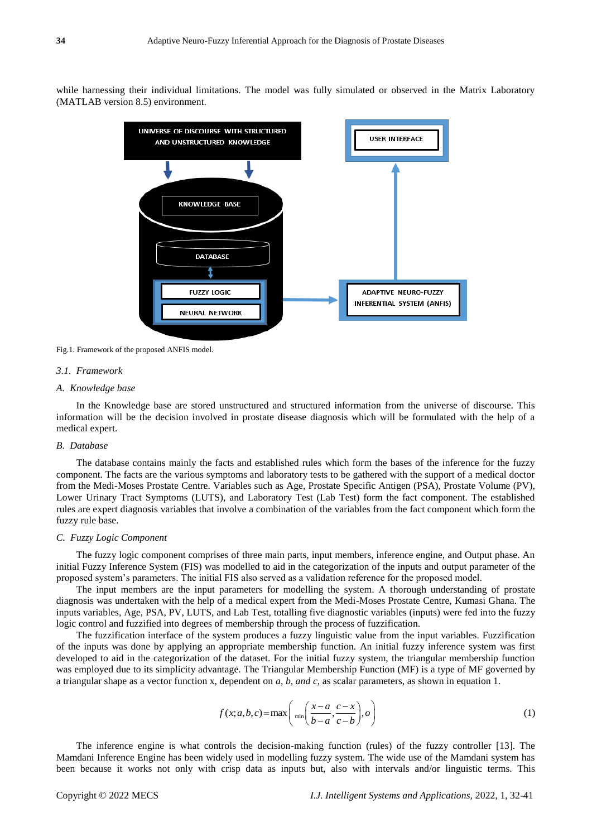while harnessing their individual limitations. The model was fully simulated or observed in the Matrix Laboratory (MATLAB version 8.5) environment.



Fig.1. Framework of the proposed ANFIS model.

#### *3.1. Framework*

## *A. Knowledge base*

In the Knowledge base are stored unstructured and structured information from the universe of discourse. This information will be the decision involved in prostate disease diagnosis which will be formulated with the help of a medical expert.

## *B. Database*

The database contains mainly the facts and established rules which form the bases of the inference for the fuzzy component. The facts are the various symptoms and laboratory tests to be gathered with the support of a medical doctor from the Medi-Moses Prostate Centre. Variables such as Age, Prostate Specific Antigen (PSA), Prostate Volume (PV), Lower Urinary Tract Symptoms (LUTS), and Laboratory Test (Lab Test) form the fact component. The established rules are expert diagnosis variables that involve a combination of the variables from the fact component which form the fuzzy rule base.

### *C. Fuzzy Logic Component*

The fuzzy logic component comprises of three main parts, input members, inference engine, and Output phase. An initial Fuzzy Inference System (FIS) was modelled to aid in the categorization of the inputs and output parameter of the proposed system's parameters. The initial FIS also served as a validation reference for the proposed model.

The input members are the input parameters for modelling the system. A thorough understanding of prostate diagnosis was undertaken with the help of a medical expert from the Medi-Moses Prostate Centre, Kumasi Ghana. The inputs variables, Age, PSA, PV, LUTS, and Lab Test, totalling five diagnostic variables (inputs) were fed into the fuzzy logic control and fuzzified into degrees of membership through the process of fuzzification.

The fuzzification interface of the system produces a fuzzy linguistic value from the input variables. Fuzzification of the inputs was done by applying an appropriate membership function. An initial fuzzy inference system was first developed to aid in the categorization of the dataset. For the initial fuzzy system, the triangular membership function was employed due to its simplicity advantage. The Triangular Membership Function (MF) is a type of MF governed by a triangular shape as a vector function x, dependent on *a, b, and c,* as scalar parameters, as shown in equation 1.

$$
f(x;a,b,c) = \max\left(\min\left(\frac{x-a}{b-a}, \frac{c-x}{c-b}\right), o\right)
$$
 (1)

The inference engine is what controls the decision-making function (rules) of the fuzzy controller [13]. The Mamdani Inference Engine has been widely used in modelling fuzzy system. The wide use of the Mamdani system has been because it works not only with crisp data as inputs but, also with intervals and/or linguistic terms. This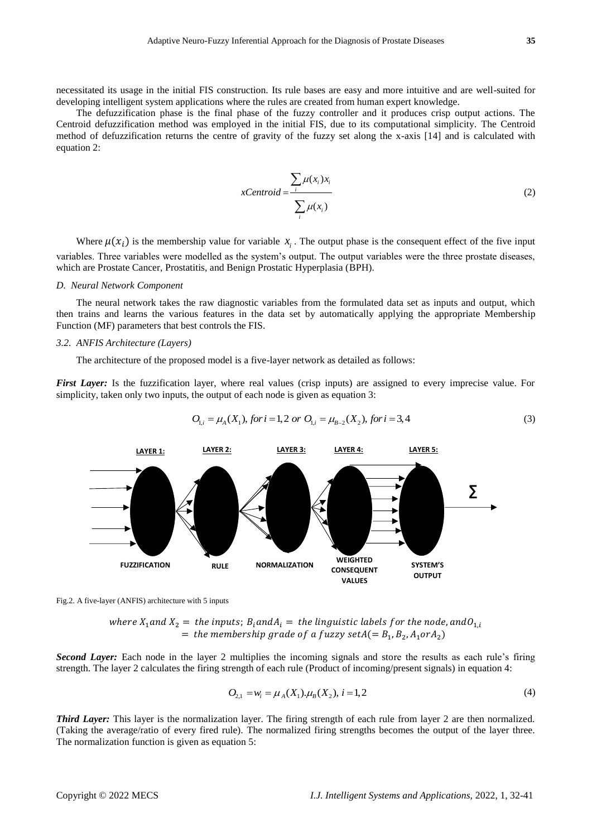necessitated its usage in the initial FIS construction. Its rule bases are easy and more intuitive and are well-suited for developing intelligent system applications where the rules are created from human expert knowledge.

The defuzzification phase is the final phase of the fuzzy controller and it produces crisp output actions. The Centroid defuzzification method was employed in the initial FIS, due to its computational simplicity. The Centroid method of defuzzification returns the centre of gravity of the fuzzy set along the x-axis [14] and is calculated with equation 2:

$$
xCentroid = \frac{\sum_{i} \mu(x_i) x_i}{\sum_{i} \mu(x_i)}
$$
 (2)

Where  $\mu(x_i)$  is the membership value for variable  $x_i$ . The output phase is the consequent effect of the five input variables. Three variables were modelled as the system's output. The output variables were the three prostate diseases, which are Prostate Cancer, Prostatitis, and Benign Prostatic Hyperplasia (BPH).

#### *D. Neural Network Component*

The neural network takes the raw diagnostic variables from the formulated data set as inputs and output, which then trains and learns the various features in the data set by automatically applying the appropriate Membership Function (MF) parameters that best controls the FIS.

### *3.2. ANFIS Architecture (Layers)*

The architecture of the proposed model is a five-layer network as detailed as follows:

*First Layer:* Is the fuzzification layer, where real values (crisp inputs) are assigned to every imprecise value. For simplicity, taken only two inputs, the output of each node is given as equation 3:<br>  $O_{1,i} = \mu_A(X_1)$ , for  $i = 1, 2$  or  $O_{1,i} = \mu_{B-2}(X_2)$ , for  $i = 3, 4$ 

$$
O_{1i} = \mu_A(X_1), \text{ for } i = 1, 2 \text{ or } O_{1i} = \mu_{B-2}(X_2), \text{ for } i = 3, 4
$$
 (3)





where  $X_1$  and  $X_2 =$  the inputs;  $B_i$  and  $A_i =$  the linguistic labels for the node, and  $O_{1,i}$ = the membership grade of a fuzzy set $A (= B_1, B_2, A_1$ or $A_2)$ 

*Second Layer:* Each node in the layer 2 multiplies the incoming signals and store the results as each rule's firing strength. The layer 2 calculates the firing strength of each rule (Product of incoming/present signals) in equation 4:

$$
O_{2,1} = w_i = \mu_A(X_1) \cdot \mu_B(X_2), \ i = 1, 2
$$
\n<sup>(4)</sup>

*Third Layer:* This layer is the normalization layer. The firing strength of each rule from layer 2 are then normalized. (Taking the average/ratio of every fired rule). The normalized firing strengths becomes the output of the layer three. The normalization function is given as equation 5: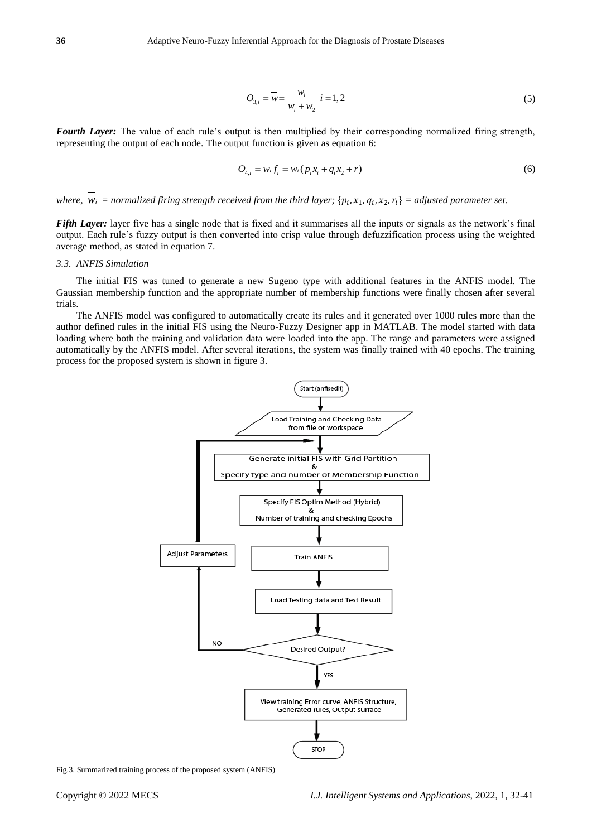$$
O_{3,i} = \overline{w} = \frac{w_i}{w_i + w_2} \quad i = 1, 2
$$
 (5)

*Fourth Layer:* The value of each rule's output is then multiplied by their corresponding normalized firing strength, representing the output of each node. The output function is given as equation 6:

$$
O_{4,i} = \overline{w_i} f_i = \overline{w_i} (p_i x_i + q_i x_2 + r)
$$
 (6)

where,  $w_i$  = normalized firing strength received from the third layer; { $p_i$ , $x_1$ , $q_i$ , $x_2$ , $r_i$ } = adjusted parameter set.

*Fifth Layer:* layer five has a single node that is fixed and it summarises all the inputs or signals as the network's final output. Each rule's fuzzy output is then converted into crisp value through defuzzification process using the weighted average method, as stated in equation 7.

## *3.3. ANFIS Simulation*

The initial FIS was tuned to generate a new Sugeno type with additional features in the ANFIS model. The Gaussian membership function and the appropriate number of membership functions were finally chosen after several trials.

The ANFIS model was configured to automatically create its rules and it generated over 1000 rules more than the author defined rules in the initial FIS using the Neuro-Fuzzy Designer app in MATLAB. The model started with data loading where both the training and validation data were loaded into the app. The range and parameters were assigned automatically by the ANFIS model. After several iterations, the system was finally trained with 40 epochs. The training process for the proposed system is shown in figure 3.



Fig.3. Summarized training process of the proposed system (ANFIS)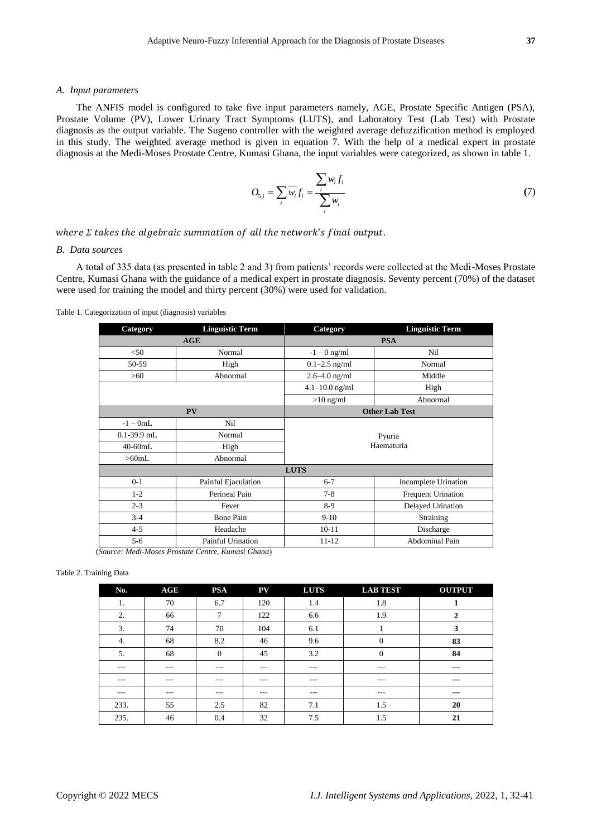#### *A. Input parameters*

The ANFIS model is configured to take five input parameters namely, AGE, Prostate Specific Antigen (PSA), Prostate Volume (PV), Lower Urinary Tract Symptoms (LUTS), and Laboratory Test (Lab Test) with Prostate diagnosis as the output variable. The Sugeno controller with the weighted average defuzzification method is employed in this study. The weighted average method is given in equation 7. With the help of a medical expert in prostate diagnosis at the Medi-Moses Prostate Centre, Kumasi Ghana, the input variables were categorized, as shown in table 1.

$$
O_{5,i} = \sum_{i} \overline{w_i} f_i = \frac{\sum_{i} w_i f_i}{\sum_{i} w_i}
$$
 (7)

where  $\Sigma$  takes the algebraic summation of all the network's final output.

#### *B. Data sources*

A total of 335 data (as presented in table 2 and 3) from patients' records were collected at the Medi-Moses Prostate Centre, Kumasi Ghana with the guidance of a medical expert in prostate diagnosis. Seventy percent (70%) of the dataset were used for training the model and thirty percent (30%) were used for validation.

#### Table 1. Categorization of input (diagnosis) variables

| Category                                           | <b>Linguistic Term</b> | Category           | <b>Linguistic Term</b> |  |  |  |
|----------------------------------------------------|------------------------|--------------------|------------------------|--|--|--|
|                                                    | AGE                    |                    | <b>PSA</b>             |  |  |  |
| $<$ 50                                             | Normal                 | $-1 - 0$ ng/ml     | Nil                    |  |  |  |
| 50-59                                              | High                   | $0.1 - 2.5$ ng/ml  | Normal                 |  |  |  |
| $>60$                                              | Abnormal               | $2.6 - 4.0$ ng/ml  | Middle                 |  |  |  |
|                                                    |                        | $4.1 - 10.0$ ng/ml | High                   |  |  |  |
|                                                    |                        | $>10$ ng/ml        | Abnormal               |  |  |  |
|                                                    | PV                     |                    | <b>Other Lab Test</b>  |  |  |  |
| $-1-0mL$                                           | Nil                    |                    |                        |  |  |  |
| $0.1 - 39.9$ mL                                    | Normal                 |                    | Pyuria                 |  |  |  |
| $40-60mL$                                          | High                   | Haematuria         |                        |  |  |  |
| $>60$ mL                                           | Abnormal               |                    |                        |  |  |  |
| <b>LUTS</b>                                        |                        |                    |                        |  |  |  |
| $0 - 1$                                            | Painful Ejaculation    | $6 - 7$            | Incomplete Urination   |  |  |  |
| $1 - 2$                                            | Perineal Pain          | $7 - 8$            | Frequent Urination     |  |  |  |
| $2 - 3$                                            | Fever                  | $8-9$              | Delayed Urination      |  |  |  |
| $3 - 4$                                            | <b>Bone Pain</b>       | $9-10$             | Straining              |  |  |  |
| $4 - 5$                                            | Headache               | $10-11$            | Discharge              |  |  |  |
| $5 - 6$                                            | Painful Urination      | $11 - 12$          | <b>Abdominal Pain</b>  |  |  |  |
| (Source: Medi-Moses Prostate Centre, Kumasi Ghana) |                        |                    |                        |  |  |  |

#### Table 2. Training Data

| No.     | AGE     | <b>PSA</b> | PV    | <b>LUTS</b> | <b>LAB TEST</b> | <b>OUTPUT</b> |
|---------|---------|------------|-------|-------------|-----------------|---------------|
| 1.      | 70      | 6.7        | 120   | 1.4         | 1.8             |               |
| 2.      | 66      | ⇁          | 122   | 6.6         | 1.9             | 2             |
| 3.      | 74      | 70         | 104   | 6.1         |                 | 3             |
| 4.      | 68      | 8.2        | 46    | 9.6         | $\mathbf{0}$    | 83            |
| 5.      | 68      | 0          | 45    | 3.2         | $\mathbf{0}$    | 84            |
| $- - -$ | $- - -$ | $- - -$    | ---   | $---$       | $---$           | $--$          |
| $- - -$ | $- - -$ | $- - -$    | ---   | $- - -$     | $- - -$         | $---$         |
| $---$   | $---$   | $---$      | $---$ | $---$       | $---$           | $--$          |
| 233.    | 55      | 2.5        | 82    | 7.1         | 1.5             | 20            |
| 235.    | 46      | 0.4        | 32    | 7.5         | 1.5             | 21            |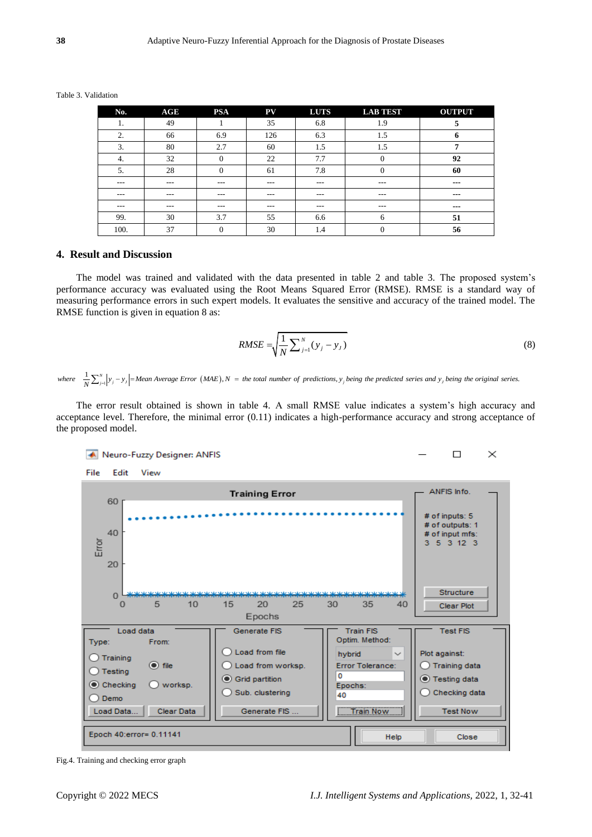Table 3. Validation

| No.  | AGE     | <b>PSA</b> | ${\bf PV}$ | <b>LUTS</b> | <b>LAB TEST</b> | <b>OUTPUT</b>          |
|------|---------|------------|------------|-------------|-----------------|------------------------|
| 1.   | 49      |            | 35         | 6.8         | 1.9             | 5                      |
| 2.   | 66      | 6.9        | 126        | 6.3         | 1.5             | o                      |
| 3.   | 80      | 2.7        | 60         | 1.5         | 1.5             | 7                      |
| 4.   | 32      |            | 22         | 7.7         | $\mathbf{0}$    | 92                     |
| 5.   | 28      | 0          | 61         | 7.8         | 0               | 60                     |
| ---  | $- - -$ | $- - -$    | $- - -$    | $- - -$     | $- - -$         | $- - -$                |
| ---  | $- - -$ | $- - -$    | $- - -$    | $- - -$     | $- - -$         | $\qquad \qquad \cdots$ |
| ---  | $- - -$ | $- - -$    | $- - -$    | $- - -$     | $---$           | $\qquad \qquad \cdots$ |
| 99.  | 30      | 3.7        | 55         | 6.6         | 6               | 51                     |
| 100. | 37      | $\Omega$   | 30         | 1.4         | $\theta$        | 56                     |

#### **4. Result and Discussion**

The model was trained and validated with the data presented in table 2 and table 3. The proposed system's performance accuracy was evaluated using the Root Means Squared Error (RMSE). RMSE is a standard way of measuring performance errors in such expert models. It evaluates the sensitive and accuracy of the trained model. The RMSE function is given in equation 8 as:

$$
RMSE = \sqrt{\frac{1}{N} \sum_{j=1}^{N} (y_j - y_j)}
$$
(8)

 $\left|y_j - y_j\right| = \text{Mean Average Error (MAE)},$  $RMSE = \sqrt{\frac{1}{N} \sum_{j=1}^{N} (y_j - y_j)}$ <br>Average Error (MAE),  $N =$  the total number of predictions,  $y_j$  being the predicted series and  $y_j$  being the original series.  $\frac{1}{\sqrt{N}}$  $RMSE = \sqrt{\frac{1}{N} \sum_{j=1}^{N} (y_j - y_j)}$ <br> *where*  $\frac{1}{N} \sum_{j=1}^{N} |y_j - y_j|$  = *Mean Average Error* (*MAE*), *N* = *the total number of predictions, y<sub>j</sub> being the predicted series and y<sub>j</sub> being the original series. I*<br> $\frac{1}{N} \sum_{j=1}^{N} |y_j - y_j|$ = Mean Average Error (MAE),  $N =$ 

The error result obtained is shown in table 4. A small RMSE value indicates a system's high accuracy and acceptance level. Therefore, the minimal error (0.11) indicates a high-performance accuracy and strong acceptance of the proposed model.



Fig.4. Training and checking error graph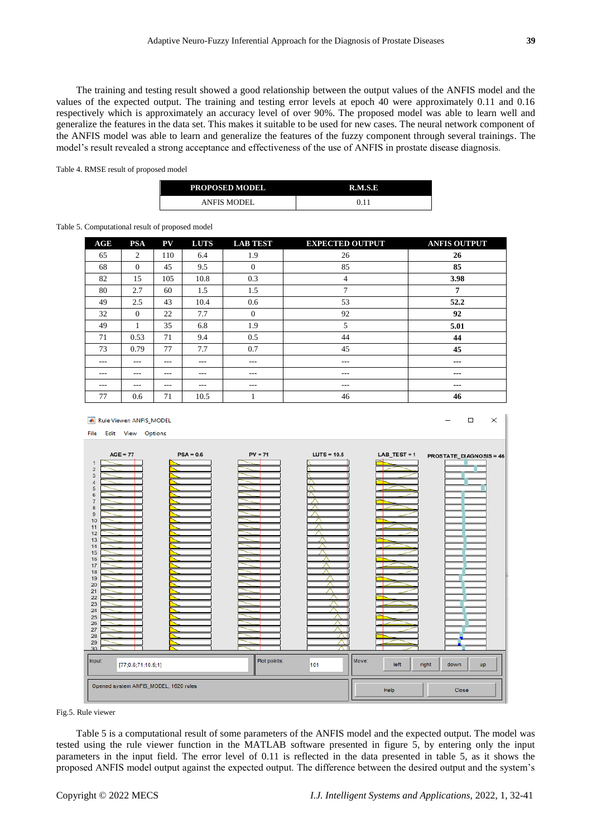The training and testing result showed a good relationship between the output values of the ANFIS model and the values of the expected output. The training and testing error levels at epoch 40 were approximately 0.11 and 0.16 respectively which is approximately an accuracy level of over 90%. The proposed model was able to learn well and generalize the features in the data set. This makes it suitable to be used for new cases. The neural network component of the ANFIS model was able to learn and generalize the features of the fuzzy component through several trainings. The model's result revealed a strong acceptance and effectiveness of the use of ANFIS in prostate disease diagnosis.

Table 4. RMSE result of proposed model

| <b>PROPOSED MODEL</b> | <b>R.M.S.E</b> |
|-----------------------|----------------|
| <b>ANFIS MODEL</b>    | 0.11           |

#### Table 5. Computational result of proposed model

| AGE     | <b>PSA</b> | PV      | <b>LUTS</b> | <b>LAB TEST</b> | <b>EXPECTED OUTPUT</b> | <b>ANFIS OUTPUT</b>    |
|---------|------------|---------|-------------|-----------------|------------------------|------------------------|
| 65      | 2          | 110     | 6.4         | 1.9             | 26                     | 26                     |
| 68      | $\Omega$   | 45      | 9.5         | $\mathbf{0}$    | 85                     | 85                     |
| 82      | 15         | 105     | 10.8        | 0.3             | 4                      | 3.98                   |
| 80      | 2.7        | 60      | 1.5         | 1.5             | 7                      | 7                      |
| 49      | 2.5        | 43      | 10.4        | 0.6             | 53                     | 52.2                   |
| 32      | $\Omega$   | 22      | 7.7         | $\theta$        | 92                     | 92                     |
| 49      | 1          | 35      | 6.8         | 1.9             | 5                      | 5.01                   |
| 71      | 0.53       | 71      | 9.4         | 0.5             | 44                     | 44                     |
| 73      | 0.79       | 77      | 7.7         | 0.7             | 45                     | 45                     |
| ---     | ---        | $- - -$ | ---         | $---$           | $---$                  | $---$                  |
| $- - -$ | ---        | $- - -$ | ---         | $- - -$         | $- - -$                | $\qquad \qquad \cdots$ |
| $- - -$ | ---        | $---$   | ---         | $- - -$         | $---$                  | ---                    |
| 77      | 0.6        | 71      | 10.5        |                 | 46                     | 46                     |



Fig.5. Rule viewer

Table 5 is a computational result of some parameters of the ANFIS model and the expected output. The model was tested using the rule viewer function in the MATLAB software presented in figure 5, by entering only the input parameters in the input field. The error level of 0.11 is reflected in the data presented in table 5, as it shows the proposed ANFIS model output against the expected output. The difference between the desired output and the system's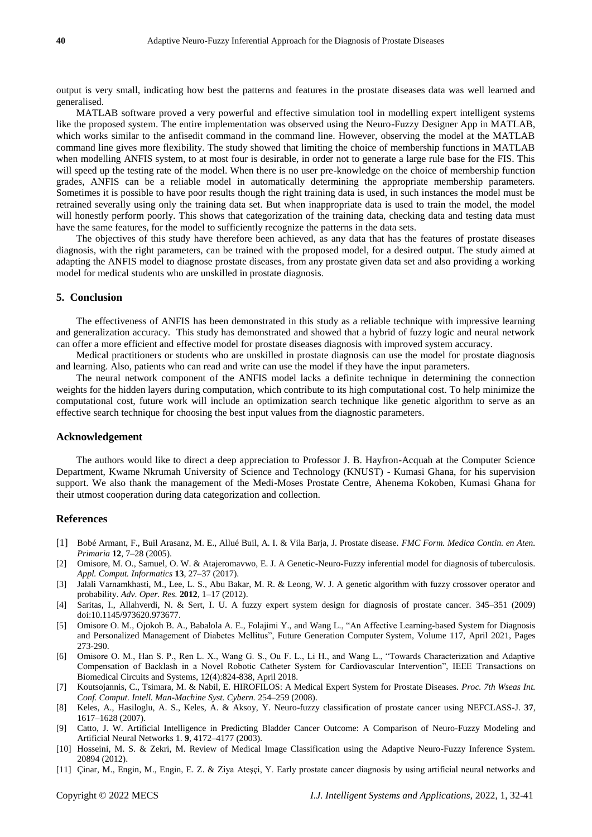output is very small, indicating how best the patterns and features in the prostate diseases data was well learned and generalised.

MATLAB software proved a very powerful and effective simulation tool in modelling expert intelligent systems like the proposed system. The entire implementation was observed using the Neuro-Fuzzy Designer App in MATLAB, which works similar to the anfisedit command in the command line. However, observing the model at the MATLAB command line gives more flexibility. The study showed that limiting the choice of membership functions in MATLAB when modelling ANFIS system, to at most four is desirable, in order not to generate a large rule base for the FIS. This will speed up the testing rate of the model. When there is no user pre-knowledge on the choice of membership function grades, ANFIS can be a reliable model in automatically determining the appropriate membership parameters. Sometimes it is possible to have poor results though the right training data is used, in such instances the model must be retrained severally using only the training data set. But when inappropriate data is used to train the model, the model will honestly perform poorly. This shows that categorization of the training data, checking data and testing data must have the same features, for the model to sufficiently recognize the patterns in the data sets.

The objectives of this study have therefore been achieved, as any data that has the features of prostate diseases diagnosis, with the right parameters, can be trained with the proposed model, for a desired output. The study aimed at adapting the ANFIS model to diagnose prostate diseases, from any prostate given data set and also providing a working model for medical students who are unskilled in prostate diagnosis.

# **5. Conclusion**

The effectiveness of ANFIS has been demonstrated in this study as a reliable technique with impressive learning and generalization accuracy. This study has demonstrated and showed that a hybrid of fuzzy logic and neural network can offer a more efficient and effective model for prostate diseases diagnosis with improved system accuracy.

Medical practitioners or students who are unskilled in prostate diagnosis can use the model for prostate diagnosis and learning. Also, patients who can read and write can use the model if they have the input parameters.

The neural network component of the ANFIS model lacks a definite technique in determining the connection weights for the hidden layers during computation, which contribute to its high computational cost. To help minimize the computational cost, future work will include an optimization search technique like genetic algorithm to serve as an effective search technique for choosing the best input values from the diagnostic parameters.

#### **Acknowledgement**

The authors would like to direct a deep appreciation to Professor J. B. Hayfron-Acquah at the Computer Science Department, Kwame Nkrumah University of Science and Technology (KNUST) - Kumasi Ghana, for his supervision support. We also thank the management of the Medi-Moses Prostate Centre, Ahenema Kokoben, Kumasi Ghana for their utmost cooperation during data categorization and collection.

## **References**

- [1] Bobé Armant, F., Buil Arasanz, M. E., Allué Buil, A. I. & Vila Barja, J. Prostate disease. *FMC Form. Medica Contin. en Aten. Primaria* **12**, 7–28 (2005).
- [2] Omisore, M. O., Samuel, O. W. & Atajeromavwo, E. J. A Genetic-Neuro-Fuzzy inferential model for diagnosis of tuberculosis. *Appl. Comput. Informatics* **13**, 27–37 (2017).
- [3] Jalali Varnamkhasti, M., Lee, L. S., Abu Bakar, M. R. & Leong, W. J. A genetic algorithm with fuzzy crossover operator and probability. *Adv. Oper. Res.* **2012**, 1–17 (2012).
- [4] Saritas, I., Allahverdi, N. & Sert, I. U. A fuzzy expert system design for diagnosis of prostate cancer. 345–351 (2009) doi:10.1145/973620.973677.
- [5] Omisore O. M., Ojokoh B. A., Babalola A. E., Folajimi Y., and Wang L., "An Affective Learning-based System for Diagnosis and Personalized Management of Diabetes Mellitus", Future Generation Computer System, Volume 117, April 2021, Pages 273-290.
- [6] Omisore O. M., Han S. P., Ren L. X., Wang G. S., Ou F. L., Li H., and Wang L., "Towards Characterization and Adaptive Compensation of Backlash in a Novel Robotic Catheter System for Cardiovascular Intervention", IEEE Transactions on Biomedical Circuits and Systems, 12(4):824-838, April 2018.
- [7] Koutsojannis, C., Tsimara, M. & Nabil, E. HIROFILOS: A Medical Expert System for Prostate Diseases. *Proc. 7th Wseas Int. Conf. Comput. Intell. Man-Machine Syst. Cybern.* 254–259 (2008).
- [8] Keles, A., Hasiloglu, A. S., Keles, A. & Aksoy, Y. Neuro-fuzzy classification of prostate cancer using NEFCLASS-J. **37**, 1617–1628 (2007).
- [9] Catto, J. W. Artificial Intelligence in Predicting Bladder Cancer Outcome: A Comparison of Neuro-Fuzzy Modeling and Artificial Neural Networks 1. **9**, 4172–4177 (2003).
- [10] Hosseini, M. S. & Zekri, M. Review of Medical Image Classification using the Adaptive Neuro-Fuzzy Inference System. 20894 (2012).
- [11] Çinar, M., Engin, M., Engin, E. Z. & Ziya Ateşçi, Y. Early prostate cancer diagnosis by using artificial neural networks and